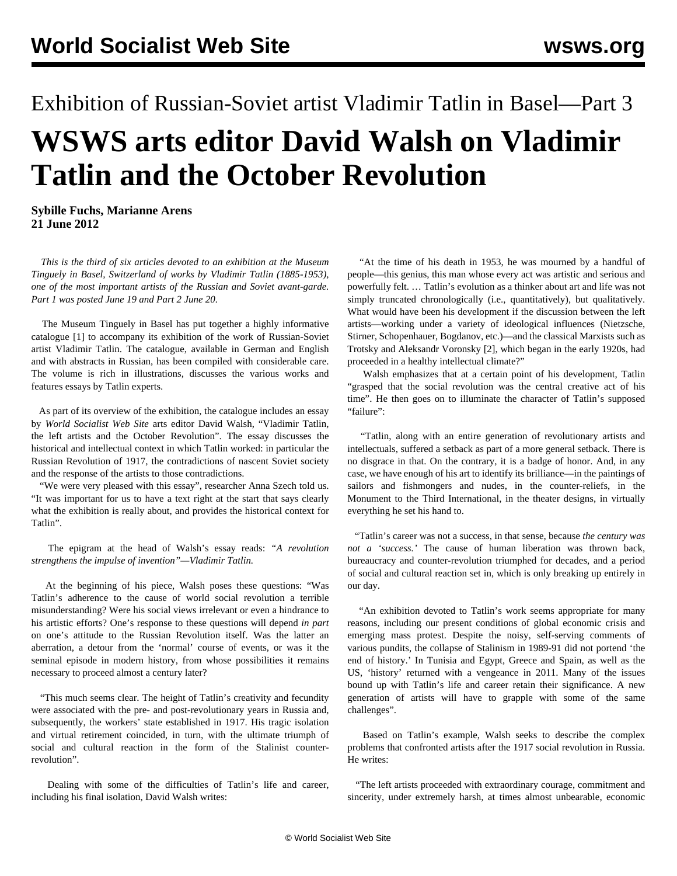## Exhibition of Russian-Soviet artist Vladimir Tatlin in Basel—Part 3 **WSWS arts editor David Walsh on Vladimir Tatlin and the October Revolution**

**Sybille Fuchs, Marianne Arens 21 June 2012**

 *This is the third of six articles devoted to an exhibition at the Museum Tinguely in Basel, Switzerland of works by Vladimir Tatlin (1885-1953), one of the most important artists of the Russian and Soviet avant-garde. Part 1 was posted June 19 and Part 2 June 20.*

 The Museum Tinguely in Basel has put together a highly informative catalogue [1] to accompany its exhibition of the work of Russian-Soviet artist Vladimir Tatlin. The catalogue, available in German and English and with abstracts in Russian, has been compiled with considerable care. The volume is rich in illustrations, discusses the various works and features essays by Tatlin experts.

 As part of its overview of the exhibition, the catalogue includes an essay by *World Socialist Web Site* arts editor David Walsh, "Vladimir Tatlin, the left artists and the October Revolution". The essay discusses the historical and intellectual context in which Tatlin worked: in particular the Russian Revolution of 1917, the contradictions of nascent Soviet society and the response of the artists to those contradictions.

 "We were very pleased with this essay", researcher Anna Szech told us. "It was important for us to have a text right at the start that says clearly what the exhibition is really about, and provides the historical context for Tatlin".

 The epigram at the head of Walsh's essay reads: *"A revolution strengthens the impulse of invention"—Vladimir Tatlin.*

 At the beginning of his piece, Walsh poses these questions: "Was Tatlin's adherence to the cause of world social revolution a terrible misunderstanding? Were his social views irrelevant or even a hindrance to his artistic efforts? One's response to these questions will depend *in part* on one's attitude to the Russian Revolution itself. Was the latter an aberration, a detour from the 'normal' course of events, or was it the seminal episode in modern history, from whose possibilities it remains necessary to proceed almost a century later?

 "This much seems clear. The height of Tatlin's creativity and fecundity were associated with the pre- and post-revolutionary years in Russia and, subsequently, the workers' state established in 1917. His tragic isolation and virtual retirement coincided, in turn, with the ultimate triumph of social and cultural reaction in the form of the Stalinist counterrevolution".

 Dealing with some of the difficulties of Tatlin's life and career, including his final isolation, David Walsh writes:

 "At the time of his death in 1953, he was mourned by a handful of people—this genius, this man whose every act was artistic and serious and powerfully felt. … Tatlin's evolution as a thinker about art and life was not simply truncated chronologically (i.e., quantitatively), but qualitatively. What would have been his development if the discussion between the left artists—working under a variety of ideological influences (Nietzsche, Stirner, Schopenhauer, Bogdanov, etc.)—and the classical Marxists such as Trotsky and Aleksandr Voronsky [2], which began in the early 1920s, had proceeded in a healthy intellectual climate?"

 Walsh emphasizes that at a certain point of his development, Tatlin "grasped that the social revolution was the central creative act of his time". He then goes on to illuminate the character of Tatlin's supposed "failure":

 "Tatlin, along with an entire generation of revolutionary artists and intellectuals, suffered a setback as part of a more general setback. There is no disgrace in that. On the contrary, it is a badge of honor. And, in any case, we have enough of his art to identify its brilliance—in the paintings of sailors and fishmongers and nudes, in the counter-reliefs, in the Monument to the Third International, in the theater designs, in virtually everything he set his hand to.

 "Tatlin's career was not a success, in that sense, because *the century was not a 'success.'* The cause of human liberation was thrown back, bureaucracy and counter-revolution triumphed for decades, and a period of social and cultural reaction set in, which is only breaking up entirely in our day.

 "An exhibition devoted to Tatlin's work seems appropriate for many reasons, including our present conditions of global economic crisis and emerging mass protest. Despite the noisy, self-serving comments of various pundits, the collapse of Stalinism in 1989-91 did not portend 'the end of history.' In Tunisia and Egypt, Greece and Spain, as well as the US, 'history' returned with a vengeance in 2011. Many of the issues bound up with Tatlin's life and career retain their significance. A new generation of artists will have to grapple with some of the same challenges".

 Based on Tatlin's example, Walsh seeks to describe the complex problems that confronted artists after the 1917 social revolution in Russia. He writes:

 "The left artists proceeded with extraordinary courage, commitment and sincerity, under extremely harsh, at times almost unbearable, economic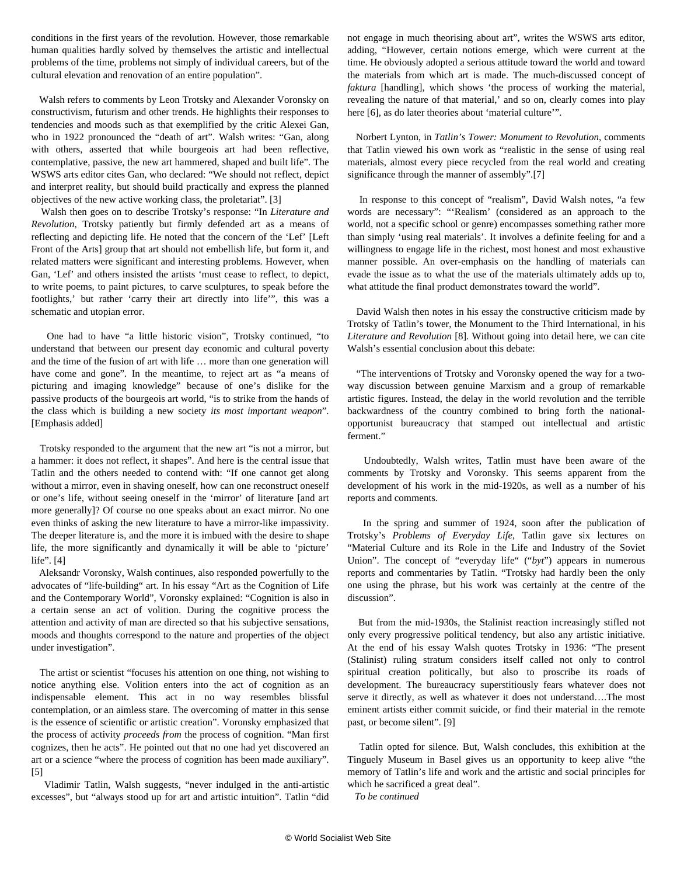conditions in the first years of the revolution. However, those remarkable human qualities hardly solved by themselves the artistic and intellectual problems of the time, problems not simply of individual careers, but of the cultural elevation and renovation of an entire population".

 Walsh refers to comments by Leon Trotsky and Alexander Voronsky on constructivism, futurism and other trends. He highlights their responses to tendencies and moods such as that exemplified by the critic Alexei Gan, who in 1922 pronounced the "death of art". Walsh writes: "Gan, along with others, asserted that while bourgeois art had been reflective, contemplative, passive, the new art hammered, shaped and built life". The WSWS arts editor cites Gan, who declared: "We should not reflect, depict and interpret reality, but should build practically and express the planned objectives of the new active working class, the proletariat". [3]

 Walsh then goes on to describe Trotsky's response: "In *Literature and Revolution*, Trotsky patiently but firmly defended art as a means of reflecting and depicting life. He noted that the concern of the 'Lef' [Left Front of the Arts] group that art should not embellish life, but form it, and related matters were significant and interesting problems. However, when Gan, 'Lef' and others insisted the artists 'must cease to reflect, to depict, to write poems, to paint pictures, to carve sculptures, to speak before the footlights,' but rather 'carry their art directly into life'", this was a schematic and utopian error.

 One had to have "a little historic vision", Trotsky continued, "to understand that between our present day economic and cultural poverty and the time of the fusion of art with life … more than one generation will have come and gone". In the meantime, to reject art as "a means of picturing and imaging knowledge" because of one's dislike for the passive products of the bourgeois art world, "is to strike from the hands of the class which is building a new society *its most important weapon*". [Emphasis added]

 Trotsky responded to the argument that the new art "is not a mirror, but a hammer: it does not reflect, it shapes". And here is the central issue that Tatlin and the others needed to contend with: "If one cannot get along without a mirror, even in shaving oneself, how can one reconstruct oneself or one's life, without seeing oneself in the 'mirror' of literature [and art more generally]? Of course no one speaks about an exact mirror. No one even thinks of asking the new literature to have a mirror-like impassivity. The deeper literature is, and the more it is imbued with the desire to shape life, the more significantly and dynamically it will be able to 'picture' life". [4]

 Aleksandr Voronsky, Walsh continues, also responded powerfully to the advocates of "life-building" art. In his essay "Art as the Cognition of Life and the Contemporary World", Voronsky explained: "Cognition is also in a certain sense an act of volition. During the cognitive process the attention and activity of man are directed so that his subjective sensations, moods and thoughts correspond to the nature and properties of the object under investigation".

 The artist or scientist "focuses his attention on one thing, not wishing to notice anything else. Volition enters into the act of cognition as an indispensable element. This act in no way resembles blissful contemplation, or an aimless stare. The overcoming of matter in this sense is the essence of scientific or artistic creation". Voronsky emphasized that the process of activity *proceeds from* the process of cognition. "Man first cognizes, then he acts". He pointed out that no one had yet discovered an art or a science "where the process of cognition has been made auxiliary". [5]

 Vladimir Tatlin, Walsh suggests, "never indulged in the anti-artistic excesses", but "always stood up for art and artistic intuition". Tatlin "did

not engage in much theorising about art", writes the WSWS arts editor, adding, "However, certain notions emerge, which were current at the time. He obviously adopted a serious attitude toward the world and toward the materials from which art is made. The much-discussed concept of *faktura* [handling], which shows 'the process of working the material, revealing the nature of that material,' and so on, clearly comes into play here [6], as do later theories about 'material culture'".

 Norbert Lynton, in *Tatlin's Tower: Monument to Revolution*, comments that Tatlin viewed his own work as "realistic in the sense of using real materials, almost every piece recycled from the real world and creating significance through the manner of assembly".[7]

 In response to this concept of "realism", David Walsh notes, "a few words are necessary": "'Realism' (considered as an approach to the world, not a specific school or genre) encompasses something rather more than simply 'using real materials'. It involves a definite feeling for and a willingness to engage life in the richest, most honest and most exhaustive manner possible. An over-emphasis on the handling of materials can evade the issue as to what the use of the materials ultimately adds up to, what attitude the final product demonstrates toward the world".

 David Walsh then notes in his essay the constructive criticism made by Trotsky of Tatlin's tower, the Monument to the Third International, in his *Literature and Revolution* [8]. Without going into detail here, we can cite Walsh's essential conclusion about this debate:

 "The interventions of Trotsky and Voronsky opened the way for a twoway discussion between genuine Marxism and a group of remarkable artistic figures. Instead, the delay in the world revolution and the terrible backwardness of the country combined to bring forth the nationalopportunist bureaucracy that stamped out intellectual and artistic ferment."

 Undoubtedly, Walsh writes, Tatlin must have been aware of the comments by Trotsky and Voronsky. This seems apparent from the development of his work in the mid-1920s, as well as a number of his reports and comments.

 In the spring and summer of 1924, soon after the publication of Trotsky's *Problems of Everyday Life*, Tatlin gave six lectures on "Material Culture and its Role in the Life and Industry of the Soviet Union". The concept of "everyday life" ("*byt*") appears in numerous reports and commentaries by Tatlin. "Trotsky had hardly been the only one using the phrase, but his work was certainly at the centre of the discussion".

 But from the mid-1930s, the Stalinist reaction increasingly stifled not only every progressive political tendency, but also any artistic initiative. At the end of his essay Walsh quotes Trotsky in 1936: "The present (Stalinist) ruling stratum considers itself called not only to control spiritual creation politically, but also to proscribe its roads of development. The bureaucracy superstitiously fears whatever does not serve it directly, as well as whatever it does not understand….The most eminent artists either commit suicide, or find their material in the remote past, or become silent". [9]

 Tatlin opted for silence. But, Walsh concludes, this exhibition at the Tinguely Museum in Basel gives us an opportunity to keep alive "the memory of Tatlin's life and work and the artistic and social principles for which he sacrificed a great deal".

*To be continued*